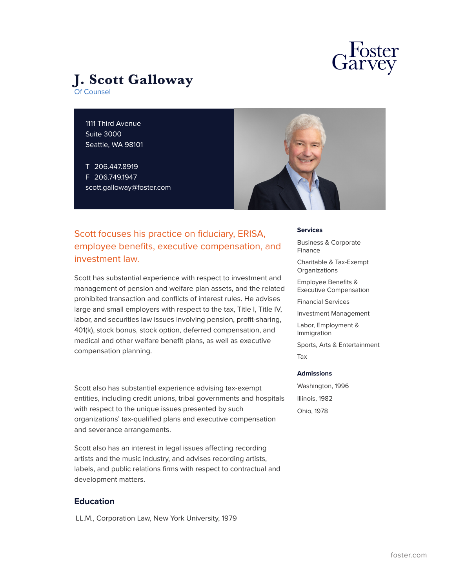



1111 Third Avenue Suite 3000 Seattle, WA 98101

T 206.447.8919 F 206.749.1947 scott.galloway@foster.com



# Scott focuses his practice on fiduciary, ERISA, employee benefits, executive compensation, and investment law.

Scott has substantial experience with respect to investment and management of pension and welfare plan assets, and the related prohibited transaction and conflicts of interest rules. He advises large and small employers with respect to the tax, Title I, Title IV, labor, and securities law issues involving pension, profit-sharing, 401(k), stock bonus, stock option, deferred compensation, and medical and other welfare benefit plans, as well as executive compensation planning.

Scott also has substantial experience advising tax-exempt entities, including credit unions, tribal governments and hospitals with respect to the unique issues presented by such organizations' tax-qualified plans and executive compensation and severance arrangements.

Scott also has an interest in legal issues affecting recording artists and the music industry, and advises recording artists, labels, and public relations firms with respect to contractual and development matters.

## **Education**

LL.M., Corporation Law, New York University, 1979

### **Services**

Business & Corporate Finance

Charitable & Tax-Exempt **Organizations** 

Employee Benefits & Executive Compensation

Financial Services

Investment Management

Labor, Employment & Immigration

Sports, Arts & Entertainment Tax

#### **Admissions**

Washington, 1996 Illinois, 1982 Ohio, 1978